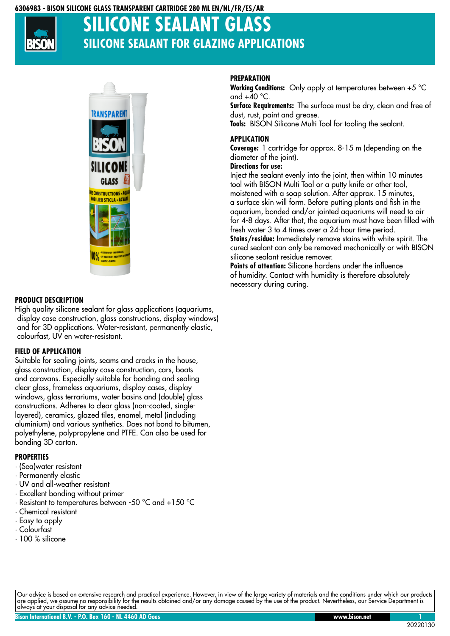### **6306983 - BISON SILICONE GLASS TRANSPARENT CARTRIDGE 280 ML EN/NL/FR/ES/AR**



# **SILICONE SEALANT GL SILICONE SEALANT FOR GLAZING APPLICATIONS**



### **PRODUCT DESCRIPTION**

High quality silicone sealant for glass applications (aquariums, display case construction, glass constructions, display windows) and for 3D applications. Water-resistant, permanently elastic, colourfast, UV en water-resistant.

### **FIELD OF APPLICATION**

Suitable for sealing joints, seams and cracks in the house, glass construction, display case construction, cars, boats and caravans. Especially suitable for bonding and sealing clear glass, frameless aquariums, display cases, display windows, glass terrariums, water basins and (double) glass constructions. Adheres to clear glass (non-coated, singlelayered), ceramics, glazed tiles, enamel, metal (including aluminium) and various synthetics. Does not bond to bitumen, polyethylene, polypropylene and PTFE. Can also be used for bonding 3D carton.

### **PROPERTIES**

- · (Sea)water resistant
- · Permanently elastic
- · UV and all-weather resistant
- · Excellent bonding without primer
- · Resistant to temperatures between -50 °C and +150 °C
- · Chemical resistant
- · Easy to apply
- · Colourfast
- · 100 % silicone

## **PREPARATION**

**Working Conditions:** Only apply at temperatures between +5 °C and  $+40$  °C.

Surface Requirements: The surface must be dry, clean and free of dust, rust, paint and grease. **Tools:** BISON Silicone Multi Tool for tooling the sealant.

## **APPLICATION**

**Coverage:** 1 cartridge for approx. 8-15 m (depending on the diameter of the joint).

## **Directions for use:**

Inject the sealant evenly into the joint, then within 10 minutes tool with BISON Multi Tool or a putty knife or other tool, moistened with a soap solution. After approx. 15 minutes, a surface skin will form. Before putting plants and fish in the aquarium, bonded and/or jointed aquariums will need to air for 4-8 days. After that, the aquarium must have been filled with fresh water 3 to 4 times over a 24-hour time period. **Stains/residue:**  Immediately remove stains with white spirit. The cured sealant can only be removed mechanically or with BISON silicone sealant residue remover.

**Points of attention:**  Silicone hardens under the influence of humidity. Contact with humidity is therefore absolutely necessary during curing.

Our advice is based on extensive research and practical experience. However, in view of the large variety of materials and the conditions under which our products are applied, we assume no responsibility for the results obtained and/or any damage caused by the use of the product. Nevertheless, our Service Department is always at your disposal for any advice needed.